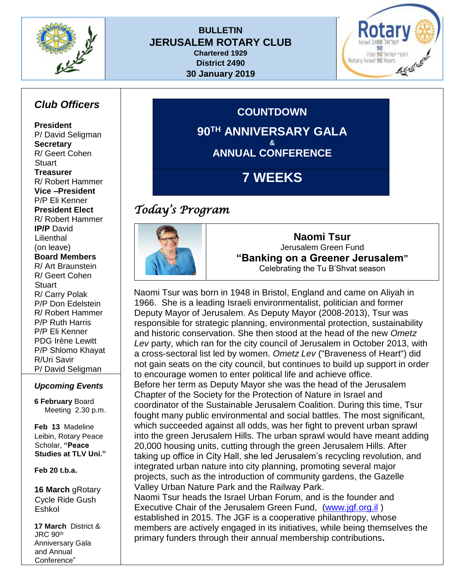

#### **BULLETIN JERUSALEM ROTARY CLUB Chartered 1929 District 2490**

**30 January 2019**

**GO** וטרי ישראל 90 שנה Rotary Israel 90 Years لمنحبكم

## *Club Officers*

**President** P/ David Seligman **Secretary** R/ Geert Cohen **Stuart Treasurer** R/ Robert Hammer **Vice –President** P/P Eli Kenner **President Elect** R/ Robert Hammer **IP/P** David Lilienthal (on leave) **Board Members** R/ Art Braunstein R/ Geert Cohen **Stuart** R/ Carry Polak P/P Don Edelstein R/ Robert Hammer P/P Ruth Harris P/P Eli Kenner PDG Irène Lewitt P/P Shlomo Khayat R/Uri Savir P/ David Seligman

#### *Upcoming Events*

**6 February** Board Meeting 2.30 p.m.

**Feb 13** Madeline Leibin, Rotary Peace Scholar, **"Peace Studies at TLV Uni."**

**Feb 20 t.b.a.**

**16 March** gRotary Cycle Ride Gush Eshkol

**17 March** District & JRC 90th Anniversary Gala and Annual Conference"

**COUNTDOWN 90TH ANNIVERSARY GALA & ANNUAL CONFERENCE**

# **7 WEEKS**

## *Today's Program*



**Naomi Tsur** Jerusalem Green Fund **"Banking on a Greener Jerusalem"** Celebrating the Tu B'Shvat season

Naomi Tsur was born in 1948 in Bristol, England and came on Aliyah in 1966. She is a leading [Israeli](http://en.wikipedia.org/wiki/Israel) environmentalist, politician and former [Deputy](http://en.wikipedia.org/w/index.php?title=Deputy_Mayor_of_Jerusalem&action=edit&redlink=1) Mayor of [Jerusalem.](http://en.wikipedia.org/wiki/Jerusalem) As Deputy Mayor (2008-2013), Tsur was responsible for strategic planning, environmental protection, sustainability and historic conservation. She then stood at the head of the new *Ometz Lev* party, which ran for the city council of Jerusalem in October 2013, with a cross-sectoral list led by women. *Ometz Lev* ("Braveness of Heart") did not gain seats on the city council, but continues to build up support in order to encourage women to enter political life and achieve office. Before her term as Deputy Mayor she was the head of the Jerusalem Chapter of the Society for the Protection of Nature in Israel and coordinator of the Sustainable Jerusalem Coalition. During this time, Tsur fought many public environmental and social battles. The most significant, which succeeded against all odds, was her fight to prevent urban sprawl into the green Jerusalem Hills. The urban sprawl would have meant adding 20,000 housing units, cutting through the green Jerusalem Hills. After taking up office in City Hall, she led Jerusalem's recycling revolution, and integrated urban nature into city planning, promoting several major projects, such as the introduction of community gardens, the Gazelle Valley Urban Nature Park and the Railway Park. Naomi Tsur heads the Israel Urban Forum, and is the founder and Executive Chair of the Jerusalem Green Fund, [\(www.jgf.org.il](http://www.jgf.org.il/) ) established in 2015. The JGF is a cooperative philanthropy, whose members are actively engaged in its initiatives, while being themselves the primary funders through their annual membership contributions**.**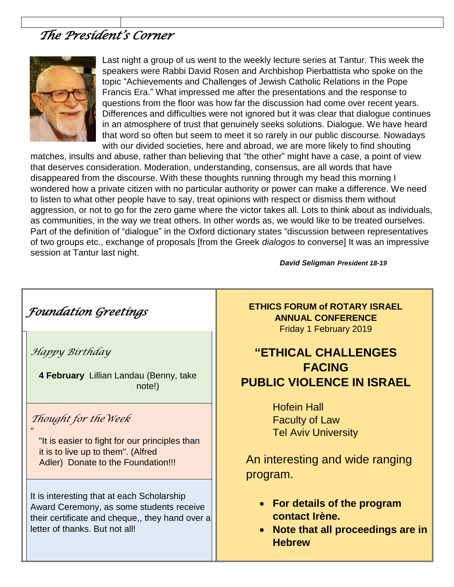# *The President's Corner*



Last night a group of us went to the weekly lecture series at Tantur. This week the speakers were Rabbi David Rosen and Archbishop Pierbattista who spoke on the topic "Achievements and Challenges of Jewish Catholic Relations in the Pope Francis Era." What impressed me after the presentations and the response to questions from the floor was how far the discussion had come over recent years. Differences and difficulties were not ignored but it was clear that dialogue continues in an atmosphere of trust that genuinely seeks solutions. Dialogue. We have heard that word so often but seem to meet it so rarely in our public discourse. Nowadays with our divided societies, here and abroad, we are more likely to find shouting

matches, insults and abuse, rather than believing that "the other" might have a case, a point of view that deserves consideration. Moderation, understanding, consensus, are all words that have disappeared from the discourse. With these thoughts running through my head this morning I wondered how a private citizen with no particular authority or power can make a difference. We need to listen to what other people have to say, treat opinions with respect or dismiss them without aggression, or not to go for the zero game where the victor takes all. Lots to think about as individuals, as communities, in the way we treat others. In other words as, we would like to be treated ourselves. Part of the definition of "dialogue" in the Oxford dictionary states "discussion between representatives of two groups etc., exchange of proposals [from the Greek *dialogos* to converse] It was an impressive session at Tantur last night.

*David Seligman President 18-19*

*Foundation Greetings Happy Birthday*  **4 February** Lillian Landau (Benny, take note!) *Thought for theWeek*   $\mathbf{u}$ "It is easier to fight for our principles than it is to live up to them". (Alfred Adler) Donate to the Foundation!!! It is interesting that at each Scholarship Award Ceremony, as some students receive their certificate and cheque,, they hand over a letter of thanks. But not all!

**ETHICS FORUM of ROTARY ISRAEL ANNUAL CONFERENCE** Friday 1 February 2019

## **"ETHICAL CHALLENGES FACING PUBLIC VIOLENCE IN ISRAEL**

Hofein Hall Faculty of Law Tel Aviv University

An interesting and wide ranging program.

- **For details of the program contact Irène.**
- **Note that all proceedings are in Hebrew**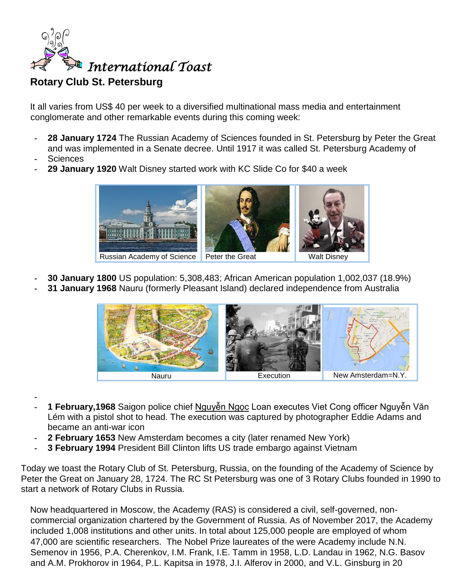

### **Rotary Club St. Petersburg**

It all varies from US\$ 40 per week to a diversified multinational mass media and entertainment conglomerate and other remarkable events during this coming week:

- **- 28 January [1724](https://www.onthisday.com/events/date/1724)** The Russian Academy of Sciences founded in St. Petersburg by [Peter the Great](https://www.onthisday.com/people/peter-the-great) and was implemented in a Senate decree. Until 1917 it was called St. Petersburg Academy of **-** Sciences
- 
- **- 29 January [1920](https://www.onthisday.com/events/date/1920)** [Walt Disney](https://www.onthisday.com/people/walt-disney) started work with KC Slide Co for \$40 a week



- **- 30 January [1800](https://www.onthisday.com/events/date/1800)** US population: 5,308,483; African American population 1,002,037 (18.9%)
- **- 31 January [1968](https://www.onthisday.com/events/date/1968)** Nauru (formerly Pleasant Island) declared independence from Australia



- **-**
- **- 1 February[,1968](https://www.onthisday.com/events/date/1968)** Saigon police chief Nguyễn Ngọc Loan executes Viet Cong officer Nguyễn Văn Lém with a pistol shot to head. The execution was captured by photographer Eddie Adams and became an anti-war icon
- **- 2 February [1653](https://www.onthisday.com/events/date/1653)** New Amsterdam becomes a city (later renamed New York)
- **- 3 February [1994](https://www.onthisday.com/events/date/1994)** President [Bill Clinton](https://www.onthisday.com/people/bill-clinton) lifts US trade embargo against Vietnam

Today we toast the Rotary Club of St. Petersburg, Russia, on the founding of the Academy of Science by Peter the Great on January 28, 1724. The RC St Petersburg was one of 3 Rotary Clubs founded in 1990 to start a network of Rotary Clubs in Russia.

Now headquartered in [Moscow,](https://en.wikipedia.org/wiki/Moscow) the Academy (RAS) is considered a civil, self-governed, noncommercial organization chartered by the [Government of Russia.](https://en.wikipedia.org/wiki/Government_of_Russia) As of November 2017, the Academy included 1,008 institutions and other units. In total about 125,000 people are employed of whom 47,000 are scientific researchers. The Nobel Prize laureates of the were Academy include N.N. Semenov in 1956, P.A. Cherenkov, I.M. Frank, I.E. Tamm in 1958, L.D. Landau in 1962, N.G. Basov and A.M. Prokhorov in 1964, P.L. Kapitsa in 1978, J.I. Alferov in 2000, and V.L. Ginsburg in 20